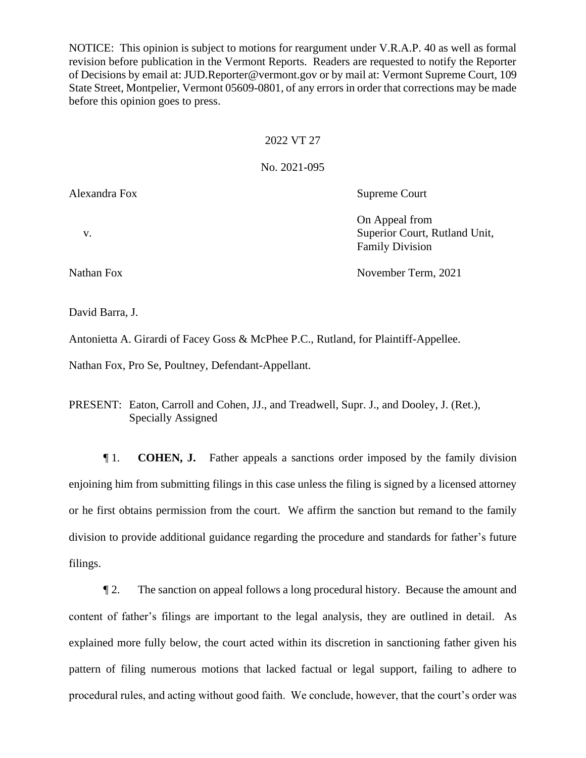NOTICE: This opinion is subject to motions for reargument under V.R.A.P. 40 as well as formal revision before publication in the Vermont Reports. Readers are requested to notify the Reporter of Decisions by email at: JUD.Reporter@vermont.gov or by mail at: Vermont Supreme Court, 109 State Street, Montpelier, Vermont 05609-0801, of any errors in order that corrections may be made before this opinion goes to press.

#### 2022 VT 27

#### No. 2021-095

Alexandra Fox Supreme Court

On Appeal from

Family Division

v. Superior Court, Rutland Unit,

Nathan Fox November Term, 2021

David Barra, J.

Antonietta A. Girardi of Facey Goss & McPhee P.C., Rutland, for Plaintiff-Appellee.

Nathan Fox, Pro Se, Poultney, Defendant-Appellant.

PRESENT: Eaton, Carroll and Cohen, JJ., and Treadwell, Supr. J., and Dooley, J. (Ret.), Specially Assigned

¶ 1. **COHEN, J.** Father appeals a sanctions order imposed by the family division enjoining him from submitting filings in this case unless the filing is signed by a licensed attorney or he first obtains permission from the court. We affirm the sanction but remand to the family division to provide additional guidance regarding the procedure and standards for father's future filings.

¶ 2. The sanction on appeal follows a long procedural history. Because the amount and content of father's filings are important to the legal analysis, they are outlined in detail. As explained more fully below, the court acted within its discretion in sanctioning father given his pattern of filing numerous motions that lacked factual or legal support, failing to adhere to procedural rules, and acting without good faith. We conclude, however, that the court's order was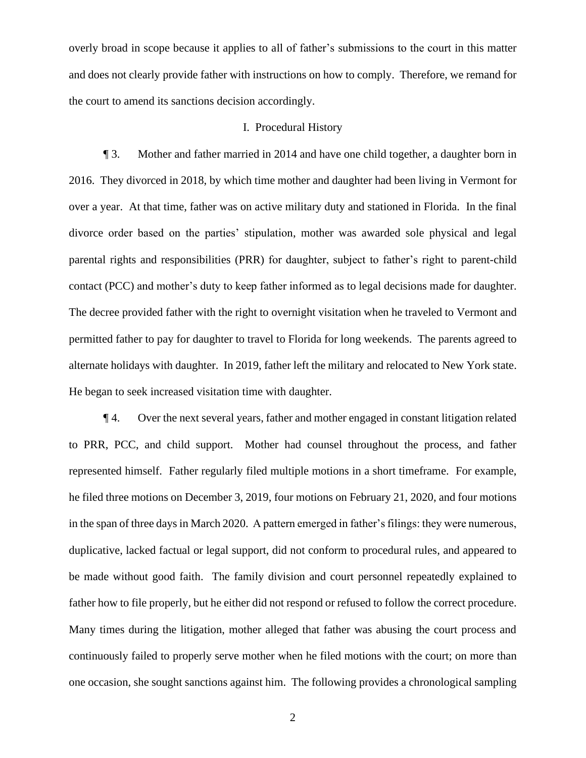overly broad in scope because it applies to all of father's submissions to the court in this matter and does not clearly provide father with instructions on how to comply. Therefore, we remand for the court to amend its sanctions decision accordingly.

### I. Procedural History

¶ 3. Mother and father married in 2014 and have one child together, a daughter born in 2016. They divorced in 2018, by which time mother and daughter had been living in Vermont for over a year. At that time, father was on active military duty and stationed in Florida. In the final divorce order based on the parties' stipulation, mother was awarded sole physical and legal parental rights and responsibilities (PRR) for daughter, subject to father's right to parent-child contact (PCC) and mother's duty to keep father informed as to legal decisions made for daughter. The decree provided father with the right to overnight visitation when he traveled to Vermont and permitted father to pay for daughter to travel to Florida for long weekends. The parents agreed to alternate holidays with daughter. In 2019, father left the military and relocated to New York state. He began to seek increased visitation time with daughter.

¶ 4. Over the next several years, father and mother engaged in constant litigation related to PRR, PCC, and child support. Mother had counsel throughout the process, and father represented himself. Father regularly filed multiple motions in a short timeframe. For example, he filed three motions on December 3, 2019, four motions on February 21, 2020, and four motions in the span of three days in March 2020. A pattern emerged in father's filings: they were numerous, duplicative, lacked factual or legal support, did not conform to procedural rules, and appeared to be made without good faith. The family division and court personnel repeatedly explained to father how to file properly, but he either did not respond or refused to follow the correct procedure. Many times during the litigation, mother alleged that father was abusing the court process and continuously failed to properly serve mother when he filed motions with the court; on more than one occasion, she sought sanctions against him. The following provides a chronological sampling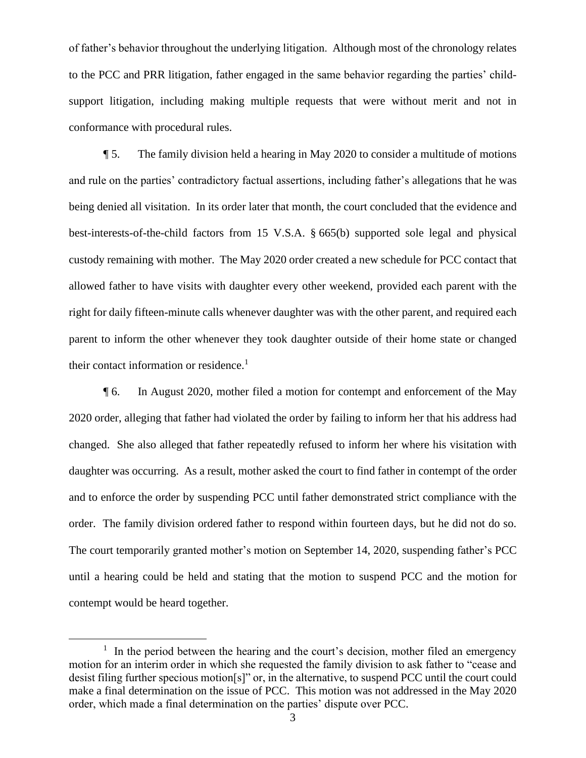of father's behavior throughout the underlying litigation. Although most of the chronology relates to the PCC and PRR litigation, father engaged in the same behavior regarding the parties' childsupport litigation, including making multiple requests that were without merit and not in conformance with procedural rules.

¶ 5. The family division held a hearing in May 2020 to consider a multitude of motions and rule on the parties' contradictory factual assertions, including father's allegations that he was being denied all visitation. In its order later that month, the court concluded that the evidence and best-interests-of-the-child factors from 15 V.S.A. § 665(b) supported sole legal and physical custody remaining with mother. The May 2020 order created a new schedule for PCC contact that allowed father to have visits with daughter every other weekend, provided each parent with the right for daily fifteen-minute calls whenever daughter was with the other parent, and required each parent to inform the other whenever they took daughter outside of their home state or changed their contact information or residence.<sup>1</sup>

¶ 6. In August 2020, mother filed a motion for contempt and enforcement of the May 2020 order, alleging that father had violated the order by failing to inform her that his address had changed. She also alleged that father repeatedly refused to inform her where his visitation with daughter was occurring. As a result, mother asked the court to find father in contempt of the order and to enforce the order by suspending PCC until father demonstrated strict compliance with the order. The family division ordered father to respond within fourteen days, but he did not do so. The court temporarily granted mother's motion on September 14, 2020, suspending father's PCC until a hearing could be held and stating that the motion to suspend PCC and the motion for contempt would be heard together.

 $<sup>1</sup>$  In the period between the hearing and the court's decision, mother filed an emergency</sup> motion for an interim order in which she requested the family division to ask father to "cease and desist filing further specious motion[s]" or, in the alternative, to suspend PCC until the court could make a final determination on the issue of PCC. This motion was not addressed in the May 2020 order, which made a final determination on the parties' dispute over PCC.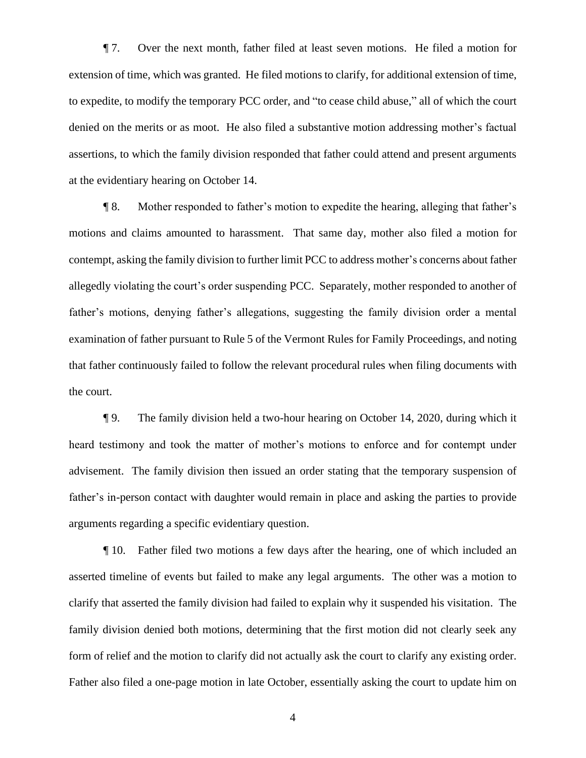¶ 7. Over the next month, father filed at least seven motions. He filed a motion for extension of time, which was granted. He filed motions to clarify, for additional extension of time, to expedite, to modify the temporary PCC order, and "to cease child abuse," all of which the court denied on the merits or as moot. He also filed a substantive motion addressing mother's factual assertions, to which the family division responded that father could attend and present arguments at the evidentiary hearing on October 14.

¶ 8. Mother responded to father's motion to expedite the hearing, alleging that father's motions and claims amounted to harassment. That same day, mother also filed a motion for contempt, asking the family division to further limit PCC to address mother's concerns about father allegedly violating the court's order suspending PCC. Separately, mother responded to another of father's motions, denying father's allegations, suggesting the family division order a mental examination of father pursuant to Rule 5 of the Vermont Rules for Family Proceedings, and noting that father continuously failed to follow the relevant procedural rules when filing documents with the court.

¶ 9. The family division held a two-hour hearing on October 14, 2020, during which it heard testimony and took the matter of mother's motions to enforce and for contempt under advisement. The family division then issued an order stating that the temporary suspension of father's in-person contact with daughter would remain in place and asking the parties to provide arguments regarding a specific evidentiary question.

¶ 10. Father filed two motions a few days after the hearing, one of which included an asserted timeline of events but failed to make any legal arguments. The other was a motion to clarify that asserted the family division had failed to explain why it suspended his visitation. The family division denied both motions, determining that the first motion did not clearly seek any form of relief and the motion to clarify did not actually ask the court to clarify any existing order. Father also filed a one-page motion in late October, essentially asking the court to update him on

4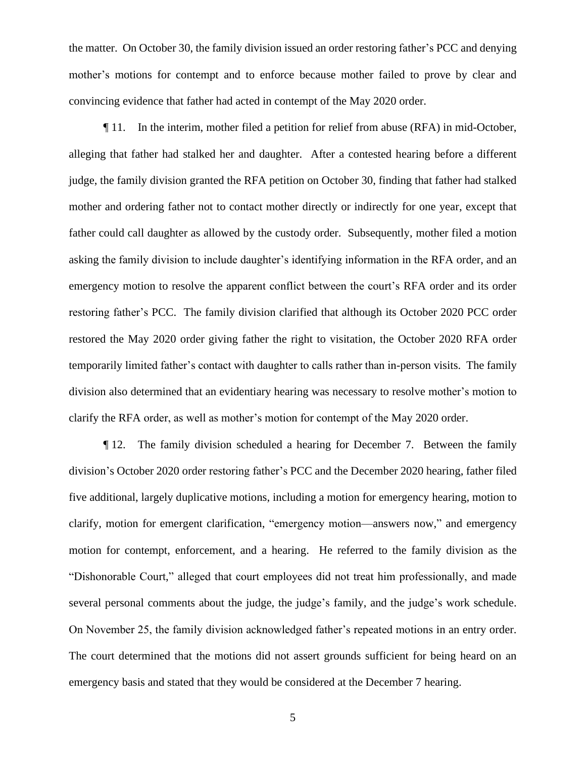the matter. On October 30, the family division issued an order restoring father's PCC and denying mother's motions for contempt and to enforce because mother failed to prove by clear and convincing evidence that father had acted in contempt of the May 2020 order.

¶ 11. In the interim, mother filed a petition for relief from abuse (RFA) in mid-October, alleging that father had stalked her and daughter. After a contested hearing before a different judge, the family division granted the RFA petition on October 30, finding that father had stalked mother and ordering father not to contact mother directly or indirectly for one year, except that father could call daughter as allowed by the custody order. Subsequently, mother filed a motion asking the family division to include daughter's identifying information in the RFA order, and an emergency motion to resolve the apparent conflict between the court's RFA order and its order restoring father's PCC. The family division clarified that although its October 2020 PCC order restored the May 2020 order giving father the right to visitation, the October 2020 RFA order temporarily limited father's contact with daughter to calls rather than in-person visits. The family division also determined that an evidentiary hearing was necessary to resolve mother's motion to clarify the RFA order, as well as mother's motion for contempt of the May 2020 order.

¶ 12. The family division scheduled a hearing for December 7. Between the family division's October 2020 order restoring father's PCC and the December 2020 hearing, father filed five additional, largely duplicative motions, including a motion for emergency hearing, motion to clarify, motion for emergent clarification, "emergency motion—answers now," and emergency motion for contempt, enforcement, and a hearing. He referred to the family division as the "Dishonorable Court," alleged that court employees did not treat him professionally, and made several personal comments about the judge, the judge's family, and the judge's work schedule. On November 25, the family division acknowledged father's repeated motions in an entry order. The court determined that the motions did not assert grounds sufficient for being heard on an emergency basis and stated that they would be considered at the December 7 hearing.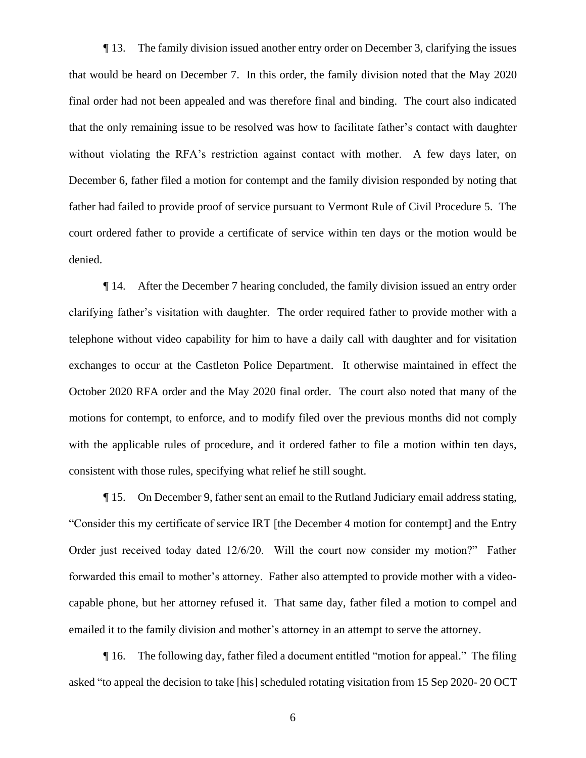¶ 13. The family division issued another entry order on December 3, clarifying the issues that would be heard on December 7. In this order, the family division noted that the May 2020 final order had not been appealed and was therefore final and binding. The court also indicated that the only remaining issue to be resolved was how to facilitate father's contact with daughter without violating the RFA's restriction against contact with mother. A few days later, on December 6, father filed a motion for contempt and the family division responded by noting that father had failed to provide proof of service pursuant to Vermont Rule of Civil Procedure 5. The court ordered father to provide a certificate of service within ten days or the motion would be denied.

¶ 14. After the December 7 hearing concluded, the family division issued an entry order clarifying father's visitation with daughter. The order required father to provide mother with a telephone without video capability for him to have a daily call with daughter and for visitation exchanges to occur at the Castleton Police Department. It otherwise maintained in effect the October 2020 RFA order and the May 2020 final order. The court also noted that many of the motions for contempt, to enforce, and to modify filed over the previous months did not comply with the applicable rules of procedure, and it ordered father to file a motion within ten days, consistent with those rules, specifying what relief he still sought.

¶ 15. On December 9, father sent an email to the Rutland Judiciary email address stating, "Consider this my certificate of service IRT [the December 4 motion for contempt] and the Entry Order just received today dated 12/6/20. Will the court now consider my motion?" Father forwarded this email to mother's attorney. Father also attempted to provide mother with a videocapable phone, but her attorney refused it. That same day, father filed a motion to compel and emailed it to the family division and mother's attorney in an attempt to serve the attorney.

¶ 16. The following day, father filed a document entitled "motion for appeal." The filing asked "to appeal the decision to take [his] scheduled rotating visitation from 15 Sep 2020- 20 OCT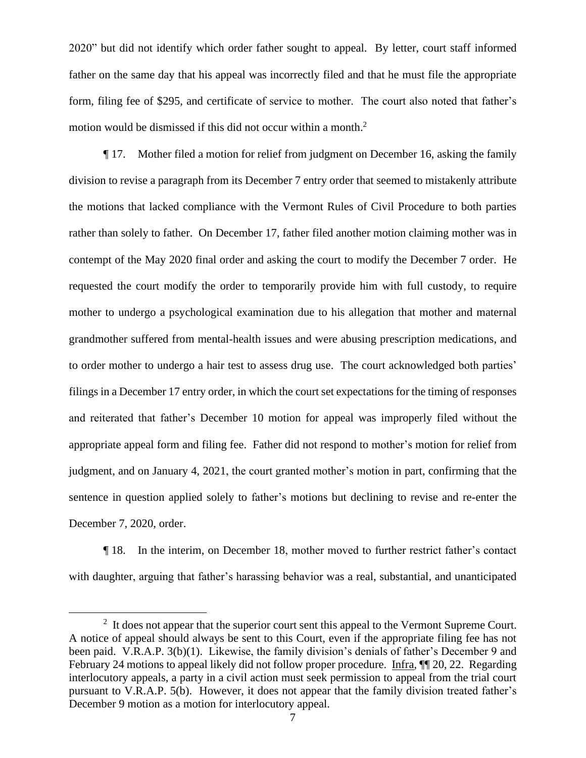2020" but did not identify which order father sought to appeal. By letter, court staff informed father on the same day that his appeal was incorrectly filed and that he must file the appropriate form, filing fee of \$295, and certificate of service to mother. The court also noted that father's motion would be dismissed if this did not occur within a month. 2

¶ 17. Mother filed a motion for relief from judgment on December 16, asking the family division to revise a paragraph from its December 7 entry order that seemed to mistakenly attribute the motions that lacked compliance with the Vermont Rules of Civil Procedure to both parties rather than solely to father. On December 17, father filed another motion claiming mother was in contempt of the May 2020 final order and asking the court to modify the December 7 order. He requested the court modify the order to temporarily provide him with full custody, to require mother to undergo a psychological examination due to his allegation that mother and maternal grandmother suffered from mental-health issues and were abusing prescription medications, and to order mother to undergo a hair test to assess drug use. The court acknowledged both parties' filings in a December 17 entry order, in which the court set expectations for the timing of responses and reiterated that father's December 10 motion for appeal was improperly filed without the appropriate appeal form and filing fee. Father did not respond to mother's motion for relief from judgment, and on January 4, 2021, the court granted mother's motion in part, confirming that the sentence in question applied solely to father's motions but declining to revise and re-enter the December 7, 2020, order.

¶ 18. In the interim, on December 18, mother moved to further restrict father's contact with daughter, arguing that father's harassing behavior was a real, substantial, and unanticipated

 $2<sup>2</sup>$  It does not appear that the superior court sent this appeal to the Vermont Supreme Court. A notice of appeal should always be sent to this Court, even if the appropriate filing fee has not been paid. V.R.A.P. 3(b)(1). Likewise, the family division's denials of father's December 9 and February 24 motions to appeal likely did not follow proper procedure. Infra,  $\P$  20, 22. Regarding interlocutory appeals, a party in a civil action must seek permission to appeal from the trial court pursuant to V.R.A.P. 5(b). However, it does not appear that the family division treated father's December 9 motion as a motion for interlocutory appeal.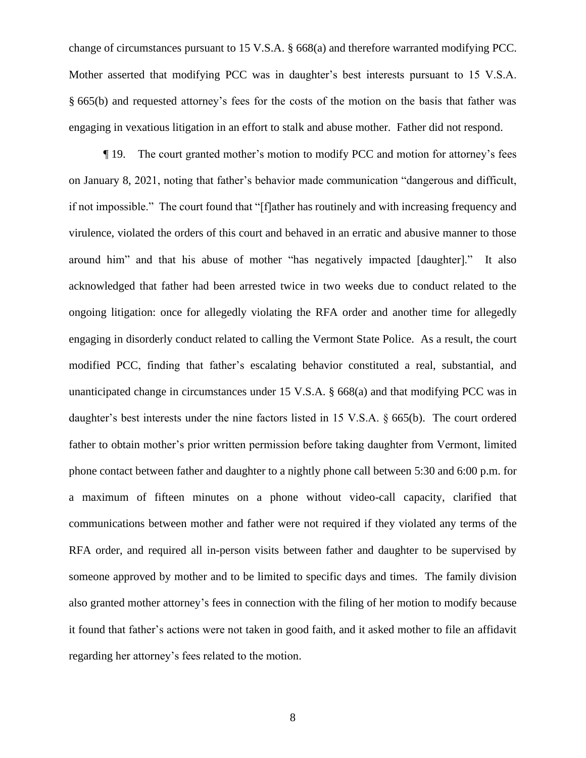change of circumstances pursuant to 15 V.S.A. § 668(a) and therefore warranted modifying PCC. Mother asserted that modifying PCC was in daughter's best interests pursuant to 15 V.S.A. § 665(b) and requested attorney's fees for the costs of the motion on the basis that father was engaging in vexatious litigation in an effort to stalk and abuse mother. Father did not respond.

¶ 19. The court granted mother's motion to modify PCC and motion for attorney's fees on January 8, 2021, noting that father's behavior made communication "dangerous and difficult, if not impossible." The court found that "[f]ather has routinely and with increasing frequency and virulence, violated the orders of this court and behaved in an erratic and abusive manner to those around him" and that his abuse of mother "has negatively impacted [daughter]." It also acknowledged that father had been arrested twice in two weeks due to conduct related to the ongoing litigation: once for allegedly violating the RFA order and another time for allegedly engaging in disorderly conduct related to calling the Vermont State Police. As a result, the court modified PCC, finding that father's escalating behavior constituted a real, substantial, and unanticipated change in circumstances under 15 V.S.A. § 668(a) and that modifying PCC was in daughter's best interests under the nine factors listed in 15 V.S.A. § 665(b). The court ordered father to obtain mother's prior written permission before taking daughter from Vermont, limited phone contact between father and daughter to a nightly phone call between 5:30 and 6:00 p.m. for a maximum of fifteen minutes on a phone without video-call capacity, clarified that communications between mother and father were not required if they violated any terms of the RFA order, and required all in-person visits between father and daughter to be supervised by someone approved by mother and to be limited to specific days and times. The family division also granted mother attorney's fees in connection with the filing of her motion to modify because it found that father's actions were not taken in good faith, and it asked mother to file an affidavit regarding her attorney's fees related to the motion.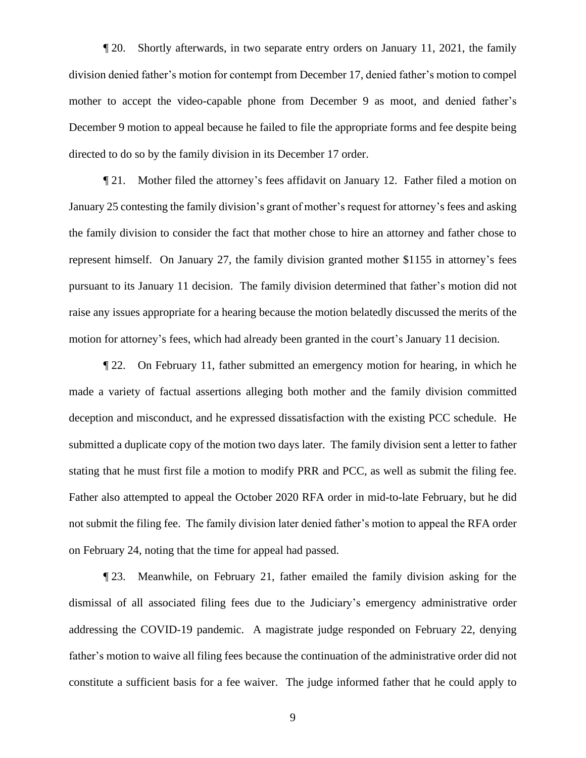¶ 20. Shortly afterwards, in two separate entry orders on January 11, 2021, the family division denied father's motion for contempt from December 17, denied father's motion to compel mother to accept the video-capable phone from December 9 as moot, and denied father's December 9 motion to appeal because he failed to file the appropriate forms and fee despite being directed to do so by the family division in its December 17 order.

¶ 21. Mother filed the attorney's fees affidavit on January 12. Father filed a motion on January 25 contesting the family division's grant of mother's request for attorney's fees and asking the family division to consider the fact that mother chose to hire an attorney and father chose to represent himself. On January 27, the family division granted mother \$1155 in attorney's fees pursuant to its January 11 decision. The family division determined that father's motion did not raise any issues appropriate for a hearing because the motion belatedly discussed the merits of the motion for attorney's fees, which had already been granted in the court's January 11 decision.

¶ 22. On February 11, father submitted an emergency motion for hearing, in which he made a variety of factual assertions alleging both mother and the family division committed deception and misconduct, and he expressed dissatisfaction with the existing PCC schedule. He submitted a duplicate copy of the motion two days later. The family division sent a letter to father stating that he must first file a motion to modify PRR and PCC, as well as submit the filing fee. Father also attempted to appeal the October 2020 RFA order in mid-to-late February, but he did not submit the filing fee. The family division later denied father's motion to appeal the RFA order on February 24, noting that the time for appeal had passed.

¶ 23. Meanwhile, on February 21, father emailed the family division asking for the dismissal of all associated filing fees due to the Judiciary's emergency administrative order addressing the COVID-19 pandemic. A magistrate judge responded on February 22, denying father's motion to waive all filing fees because the continuation of the administrative order did not constitute a sufficient basis for a fee waiver. The judge informed father that he could apply to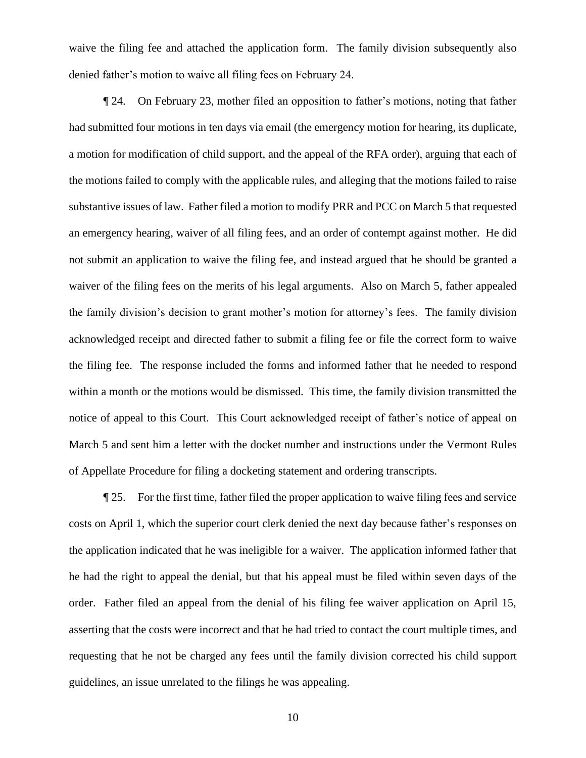waive the filing fee and attached the application form. The family division subsequently also denied father's motion to waive all filing fees on February 24.

¶ 24. On February 23, mother filed an opposition to father's motions, noting that father had submitted four motions in ten days via email (the emergency motion for hearing, its duplicate, a motion for modification of child support, and the appeal of the RFA order), arguing that each of the motions failed to comply with the applicable rules, and alleging that the motions failed to raise substantive issues of law. Father filed a motion to modify PRR and PCC on March 5 that requested an emergency hearing, waiver of all filing fees, and an order of contempt against mother. He did not submit an application to waive the filing fee, and instead argued that he should be granted a waiver of the filing fees on the merits of his legal arguments. Also on March 5, father appealed the family division's decision to grant mother's motion for attorney's fees. The family division acknowledged receipt and directed father to submit a filing fee or file the correct form to waive the filing fee. The response included the forms and informed father that he needed to respond within a month or the motions would be dismissed. This time, the family division transmitted the notice of appeal to this Court. This Court acknowledged receipt of father's notice of appeal on March 5 and sent him a letter with the docket number and instructions under the Vermont Rules of Appellate Procedure for filing a docketing statement and ordering transcripts.

¶ 25. For the first time, father filed the proper application to waive filing fees and service costs on April 1, which the superior court clerk denied the next day because father's responses on the application indicated that he was ineligible for a waiver. The application informed father that he had the right to appeal the denial, but that his appeal must be filed within seven days of the order. Father filed an appeal from the denial of his filing fee waiver application on April 15, asserting that the costs were incorrect and that he had tried to contact the court multiple times, and requesting that he not be charged any fees until the family division corrected his child support guidelines, an issue unrelated to the filings he was appealing.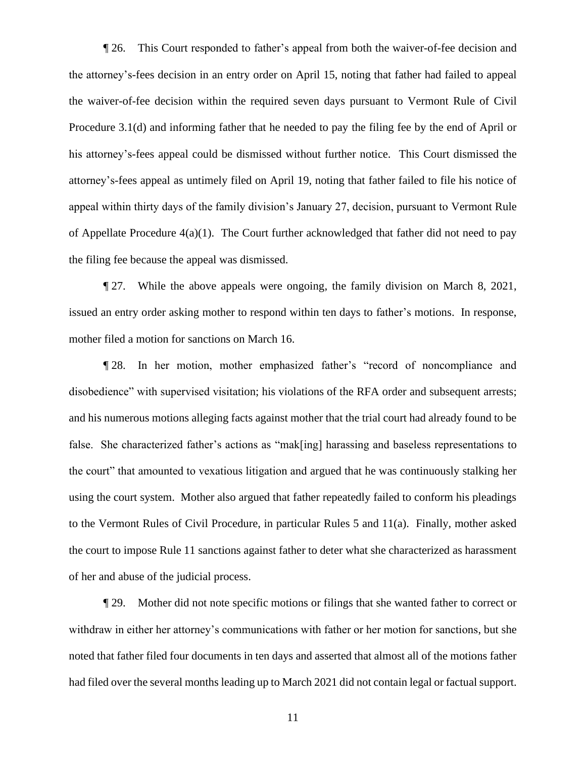¶ 26. This Court responded to father's appeal from both the waiver-of-fee decision and the attorney's-fees decision in an entry order on April 15, noting that father had failed to appeal the waiver-of-fee decision within the required seven days pursuant to Vermont Rule of Civil Procedure 3.1(d) and informing father that he needed to pay the filing fee by the end of April or his attorney's-fees appeal could be dismissed without further notice. This Court dismissed the attorney's-fees appeal as untimely filed on April 19, noting that father failed to file his notice of appeal within thirty days of the family division's January 27, decision, pursuant to Vermont Rule of Appellate Procedure 4(a)(1). The Court further acknowledged that father did not need to pay the filing fee because the appeal was dismissed.

¶ 27. While the above appeals were ongoing, the family division on March 8, 2021, issued an entry order asking mother to respond within ten days to father's motions. In response, mother filed a motion for sanctions on March 16.

¶ 28. In her motion, mother emphasized father's "record of noncompliance and disobedience" with supervised visitation; his violations of the RFA order and subsequent arrests; and his numerous motions alleging facts against mother that the trial court had already found to be false. She characterized father's actions as "mak[ing] harassing and baseless representations to the court" that amounted to vexatious litigation and argued that he was continuously stalking her using the court system. Mother also argued that father repeatedly failed to conform his pleadings to the Vermont Rules of Civil Procedure, in particular Rules 5 and 11(a). Finally, mother asked the court to impose Rule 11 sanctions against father to deter what she characterized as harassment of her and abuse of the judicial process.

¶ 29. Mother did not note specific motions or filings that she wanted father to correct or withdraw in either her attorney's communications with father or her motion for sanctions, but she noted that father filed four documents in ten days and asserted that almost all of the motions father had filed over the several months leading up to March 2021 did not contain legal or factual support.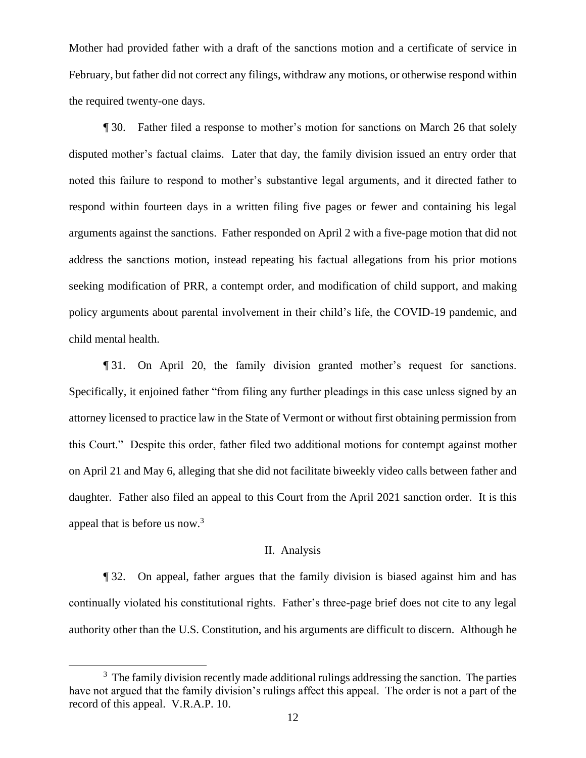Mother had provided father with a draft of the sanctions motion and a certificate of service in February, but father did not correct any filings, withdraw any motions, or otherwise respond within the required twenty-one days.

¶ 30. Father filed a response to mother's motion for sanctions on March 26 that solely disputed mother's factual claims. Later that day, the family division issued an entry order that noted this failure to respond to mother's substantive legal arguments, and it directed father to respond within fourteen days in a written filing five pages or fewer and containing his legal arguments against the sanctions. Father responded on April 2 with a five-page motion that did not address the sanctions motion, instead repeating his factual allegations from his prior motions seeking modification of PRR, a contempt order, and modification of child support, and making policy arguments about parental involvement in their child's life, the COVID-19 pandemic, and child mental health.

¶ 31. On April 20, the family division granted mother's request for sanctions. Specifically, it enjoined father "from filing any further pleadings in this case unless signed by an attorney licensed to practice law in the State of Vermont or without first obtaining permission from this Court." Despite this order, father filed two additional motions for contempt against mother on April 21 and May 6, alleging that she did not facilitate biweekly video calls between father and daughter. Father also filed an appeal to this Court from the April 2021 sanction order. It is this appeal that is before us now.<sup>3</sup>

### II. Analysis

¶ 32. On appeal, father argues that the family division is biased against him and has continually violated his constitutional rights. Father's three-page brief does not cite to any legal authority other than the U.S. Constitution, and his arguments are difficult to discern. Although he

 $3$  The family division recently made additional rulings addressing the sanction. The parties have not argued that the family division's rulings affect this appeal. The order is not a part of the record of this appeal. V.R.A.P. 10.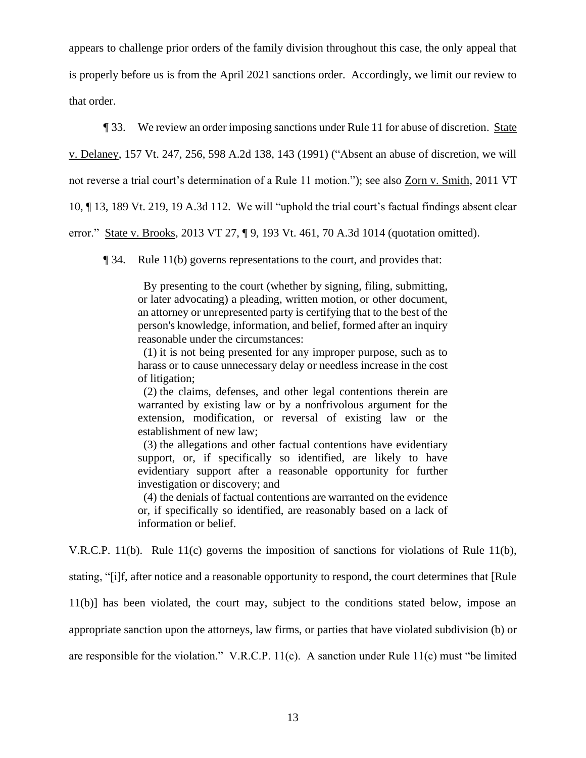appears to challenge prior orders of the family division throughout this case, the only appeal that is properly before us is from the April 2021 sanctions order. Accordingly, we limit our review to that order.

¶ 33. We review an order imposing sanctions under Rule 11 for abuse of discretion. State v. Delaney, 157 Vt. 247, 256, 598 A.2d 138, 143 (1991) ("Absent an abuse of discretion, we will not reverse a trial court's determination of a Rule 11 motion."); see also Zorn v. Smith, 2011 VT 10, ¶ 13, 189 Vt. 219, 19 A.3d 112. We will "uphold the trial court's factual findings absent clear error." State v. Brooks, 2013 VT 27, ¶ 9, 193 Vt. 461, 70 A.3d 1014 (quotation omitted).

¶ 34. Rule 11(b) governs representations to the court, and provides that:

 By presenting to the court (whether by signing, filing, submitting, or later advocating) a pleading, written motion, or other document, an attorney or unrepresented party is certifying that to the best of the person's knowledge, information, and belief, formed after an inquiry reasonable under the circumstances:

 (1) it is not being presented for any improper purpose, such as to harass or to cause unnecessary delay or needless increase in the cost of litigation;

 (2) the claims, defenses, and other legal contentions therein are warranted by existing law or by a nonfrivolous argument for the extension, modification, or reversal of existing law or the establishment of new law;

 (3) the allegations and other factual contentions have evidentiary support, or, if specifically so identified, are likely to have evidentiary support after a reasonable opportunity for further investigation or discovery; and

 (4) the denials of factual contentions are warranted on the evidence or, if specifically so identified, are reasonably based on a lack of information or belief.

V.R.C.P. 11(b). Rule 11(c) governs the imposition of sanctions for violations of Rule 11(b), stating, "[i]f, after notice and a reasonable opportunity to respond, the court determines that [Rule 11(b)] has been violated, the court may, subject to the conditions stated below, impose an appropriate sanction upon the attorneys, law firms, or parties that have violated subdivision (b) or are responsible for the violation." V.R.C.P. 11(c). A sanction under Rule 11(c) must "be limited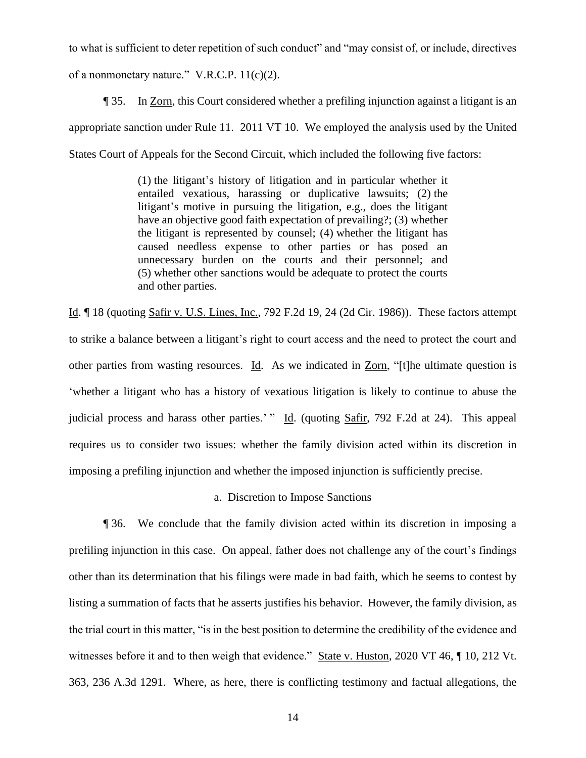to what is sufficient to deter repetition of such conduct" and "may consist of, or include, directives of a nonmonetary nature." V.R.C.P. 11(c)(2).

¶ 35. In Zorn, this Court considered whether a prefiling injunction against a litigant is an appropriate sanction under Rule 11. 2011 VT 10. We employed the analysis used by the United States Court of Appeals for the Second Circuit, which included the following five factors:

> (1) the litigant's history of litigation and in particular whether it entailed vexatious, harassing or duplicative lawsuits; (2) the litigant's motive in pursuing the litigation, e.g., does the litigant have an objective good faith expectation of prevailing?; (3) whether the litigant is represented by counsel; (4) whether the litigant has caused needless expense to other parties or has posed an unnecessary burden on the courts and their personnel; and (5) whether other sanctions would be adequate to protect the courts and other parties.

Id. ¶ 18 (quoting Safir v. U.S. Lines, Inc., 792 F.2d 19, 24 (2d Cir. 1986)). These factors attempt to strike a balance between a litigant's right to court access and the need to protect the court and other parties from wasting resources. Id. As we indicated in Zorn, "[t]he ultimate question is 'whether a litigant who has a history of vexatious litigation is likely to continue to abuse the judicial process and harass other parties.' " Id. (quoting Safir, 792 F.2d at 24). This appeal requires us to consider two issues: whether the family division acted within its discretion in imposing a prefiling injunction and whether the imposed injunction is sufficiently precise.

# a. Discretion to Impose Sanctions

¶ 36. We conclude that the family division acted within its discretion in imposing a prefiling injunction in this case. On appeal, father does not challenge any of the court's findings other than its determination that his filings were made in bad faith, which he seems to contest by listing a summation of facts that he asserts justifies his behavior. However, the family division, as the trial court in this matter, "is in the best position to determine the credibility of the evidence and witnesses before it and to then weigh that evidence." State v. Huston, 2020 VT 46,  $\P$  10, 212 Vt. 363, 236 A.3d 1291. Where, as here, there is conflicting testimony and factual allegations, the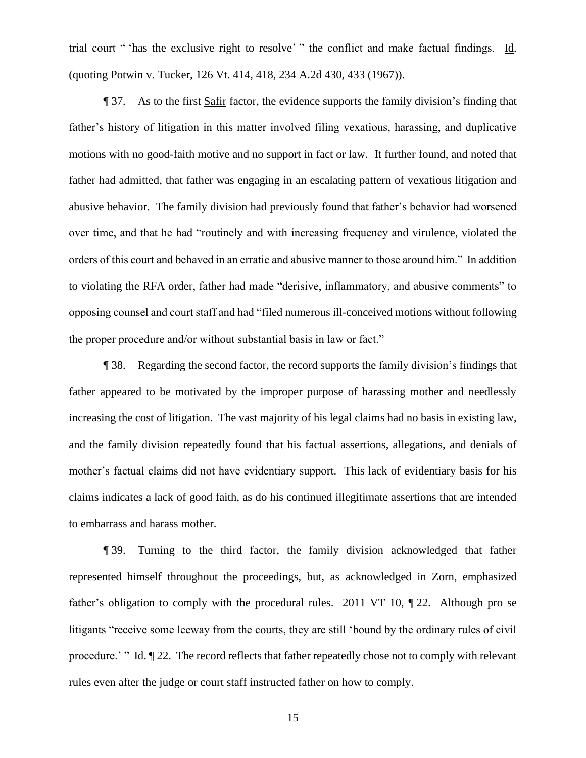trial court " 'has the exclusive right to resolve' " the conflict and make factual findings. Id. (quoting Potwin v. Tucker, 126 Vt. 414, 418, 234 A.2d 430, 433 (1967)).

¶ 37. As to the first Safir factor, the evidence supports the family division's finding that father's history of litigation in this matter involved filing vexatious, harassing, and duplicative motions with no good-faith motive and no support in fact or law. It further found, and noted that father had admitted, that father was engaging in an escalating pattern of vexatious litigation and abusive behavior. The family division had previously found that father's behavior had worsened over time, and that he had "routinely and with increasing frequency and virulence, violated the orders of this court and behaved in an erratic and abusive manner to those around him." In addition to violating the RFA order, father had made "derisive, inflammatory, and abusive comments" to opposing counsel and court staff and had "filed numerous ill-conceived motions without following the proper procedure and/or without substantial basis in law or fact."

¶ 38. Regarding the second factor, the record supports the family division's findings that father appeared to be motivated by the improper purpose of harassing mother and needlessly increasing the cost of litigation. The vast majority of his legal claims had no basis in existing law, and the family division repeatedly found that his factual assertions, allegations, and denials of mother's factual claims did not have evidentiary support. This lack of evidentiary basis for his claims indicates a lack of good faith, as do his continued illegitimate assertions that are intended to embarrass and harass mother.

¶ 39. Turning to the third factor, the family division acknowledged that father represented himself throughout the proceedings, but, as acknowledged in Zorn, emphasized father's obligation to comply with the procedural rules. 2011 VT 10, ¶ 22. Although pro se litigants "receive some leeway from the courts, they are still 'bound by the ordinary rules of civil procedure.' " Id.  $\parallel$  22. The record reflects that father repeatedly chose not to comply with relevant rules even after the judge or court staff instructed father on how to comply.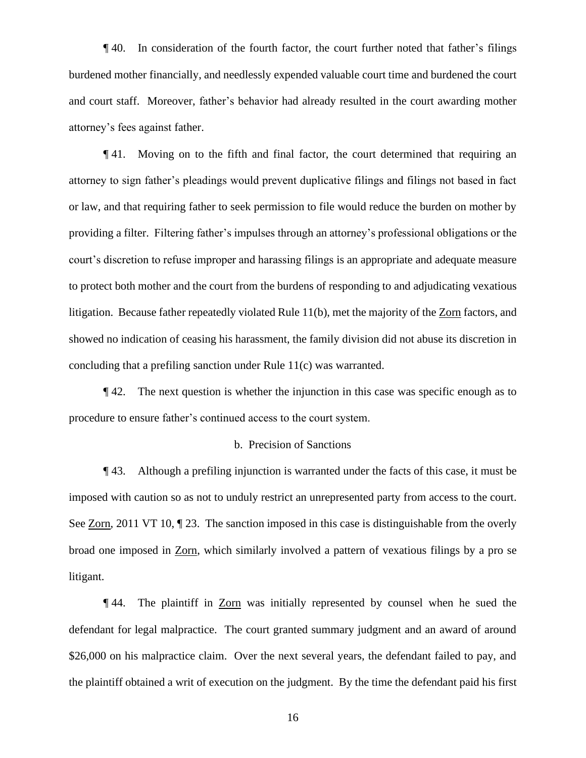¶ 40. In consideration of the fourth factor, the court further noted that father's filings burdened mother financially, and needlessly expended valuable court time and burdened the court and court staff. Moreover, father's behavior had already resulted in the court awarding mother attorney's fees against father.

¶ 41. Moving on to the fifth and final factor, the court determined that requiring an attorney to sign father's pleadings would prevent duplicative filings and filings not based in fact or law, and that requiring father to seek permission to file would reduce the burden on mother by providing a filter. Filtering father's impulses through an attorney's professional obligations or the court's discretion to refuse improper and harassing filings is an appropriate and adequate measure to protect both mother and the court from the burdens of responding to and adjudicating vexatious litigation. Because father repeatedly violated Rule 11(b), met the majority of the Zorn factors, and showed no indication of ceasing his harassment, the family division did not abuse its discretion in concluding that a prefiling sanction under Rule 11(c) was warranted.

¶ 42. The next question is whether the injunction in this case was specific enough as to procedure to ensure father's continued access to the court system.

## b. Precision of Sanctions

¶ 43. Although a prefiling injunction is warranted under the facts of this case, it must be imposed with caution so as not to unduly restrict an unrepresented party from access to the court. See <u>Zorn</u>, 2011 VT 10,  $\sqrt{2}$  23. The sanction imposed in this case is distinguishable from the overly broad one imposed in Zorn, which similarly involved a pattern of vexatious filings by a pro se litigant.

¶ 44. The plaintiff in Zorn was initially represented by counsel when he sued the defendant for legal malpractice. The court granted summary judgment and an award of around \$26,000 on his malpractice claim. Over the next several years, the defendant failed to pay, and the plaintiff obtained a writ of execution on the judgment. By the time the defendant paid his first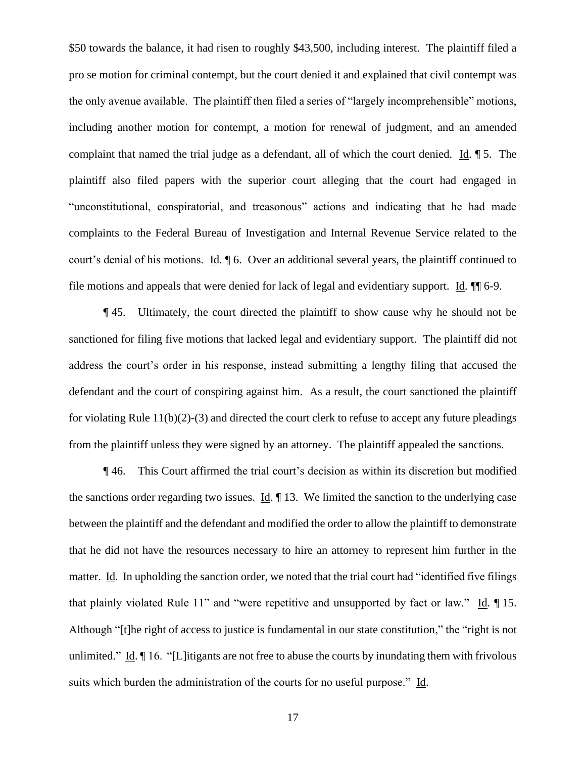\$50 towards the balance, it had risen to roughly \$43,500, including interest. The plaintiff filed a pro se motion for criminal contempt, but the court denied it and explained that civil contempt was the only avenue available. The plaintiff then filed a series of "largely incomprehensible" motions, including another motion for contempt, a motion for renewal of judgment, and an amended complaint that named the trial judge as a defendant, all of which the court denied. Id. ¶ 5. The plaintiff also filed papers with the superior court alleging that the court had engaged in "unconstitutional, conspiratorial, and treasonous" actions and indicating that he had made complaints to the Federal Bureau of Investigation and Internal Revenue Service related to the court's denial of his motions. Id. ¶ 6. Over an additional several years, the plaintiff continued to file motions and appeals that were denied for lack of legal and evidentiary support. Id. ¶¶ 6-9.

¶ 45. Ultimately, the court directed the plaintiff to show cause why he should not be sanctioned for filing five motions that lacked legal and evidentiary support. The plaintiff did not address the court's order in his response, instead submitting a lengthy filing that accused the defendant and the court of conspiring against him. As a result, the court sanctioned the plaintiff for violating Rule 11(b)(2)-(3) and directed the court clerk to refuse to accept any future pleadings from the plaintiff unless they were signed by an attorney. The plaintiff appealed the sanctions.

¶ 46. This Court affirmed the trial court's decision as within its discretion but modified the sanctions order regarding two issues. Id. ¶ 13. We limited the sanction to the underlying case between the plaintiff and the defendant and modified the order to allow the plaintiff to demonstrate that he did not have the resources necessary to hire an attorney to represent him further in the matter. Id. In upholding the sanction order, we noted that the trial court had "identified five filings that plainly violated Rule 11" and "were repetitive and unsupported by fact or law." Id. ¶ 15. Although "[t]he right of access to justice is fundamental in our state constitution," the "right is not unlimited." Id. ¶ 16. "[L]itigants are not free to abuse the courts by inundating them with frivolous suits which burden the administration of the courts for no useful purpose." Id.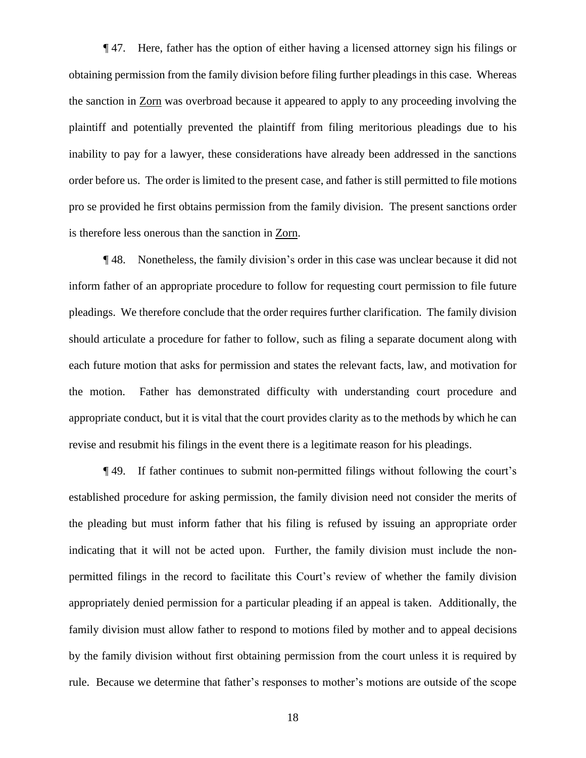¶ 47. Here, father has the option of either having a licensed attorney sign his filings or obtaining permission from the family division before filing further pleadings in this case. Whereas the sanction in Zorn was overbroad because it appeared to apply to any proceeding involving the plaintiff and potentially prevented the plaintiff from filing meritorious pleadings due to his inability to pay for a lawyer, these considerations have already been addressed in the sanctions order before us. The order is limited to the present case, and father is still permitted to file motions pro se provided he first obtains permission from the family division. The present sanctions order is therefore less onerous than the sanction in Zorn.

¶ 48. Nonetheless, the family division's order in this case was unclear because it did not inform father of an appropriate procedure to follow for requesting court permission to file future pleadings. We therefore conclude that the order requires further clarification. The family division should articulate a procedure for father to follow, such as filing a separate document along with each future motion that asks for permission and states the relevant facts, law, and motivation for the motion. Father has demonstrated difficulty with understanding court procedure and appropriate conduct, but it is vital that the court provides clarity as to the methods by which he can revise and resubmit his filings in the event there is a legitimate reason for his pleadings.

¶ 49. If father continues to submit non-permitted filings without following the court's established procedure for asking permission, the family division need not consider the merits of the pleading but must inform father that his filing is refused by issuing an appropriate order indicating that it will not be acted upon. Further, the family division must include the nonpermitted filings in the record to facilitate this Court's review of whether the family division appropriately denied permission for a particular pleading if an appeal is taken. Additionally, the family division must allow father to respond to motions filed by mother and to appeal decisions by the family division without first obtaining permission from the court unless it is required by rule. Because we determine that father's responses to mother's motions are outside of the scope